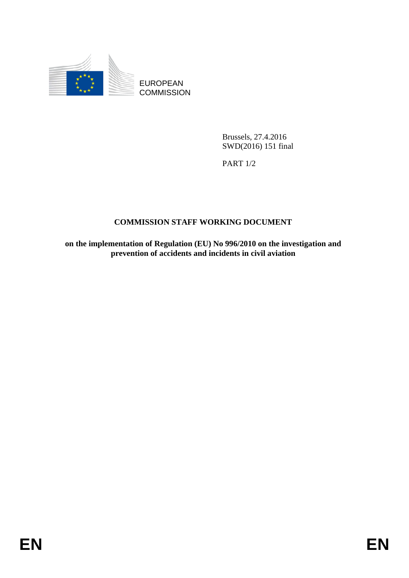

EUROPEAN **COMMISSION** 

> Brussels, 27.4.2016 SWD(2016) 151 final

PART 1/2

# **COMMISSION STAFF WORKING DOCUMENT**

**on the implementation of Regulation (EU) No 996/2010 on the investigation and prevention of accidents and incidents in civil aviation**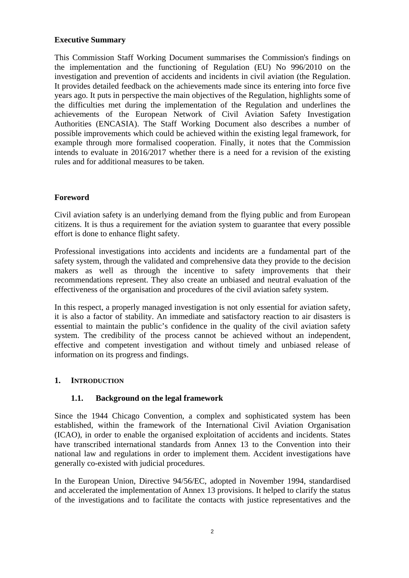### **Executive Summary**

This Commission Staff Working Document summarises the Commission's findings on the implementation and the functioning of Regulation (EU) No 996/2010 on the investigation and prevention of accidents and incidents in civil aviation (the Regulation. It provides detailed feedback on the achievements made since its entering into force five years ago. It puts in perspective the main objectives of the Regulation, highlights some of the difficulties met during the implementation of the Regulation and underlines the achievements of the European Network of Civil Aviation Safety Investigation Authorities (ENCASIA). The Staff Working Document also describes a number of possible improvements which could be achieved within the existing legal framework, for example through more formalised cooperation. Finally, it notes that the Commission intends to evaluate in 2016/2017 whether there is a need for a revision of the existing rules and for additional measures to be taken.

### **Foreword**

Civil aviation safety is an underlying demand from the flying public and from European citizens. It is thus a requirement for the aviation system to guarantee that every possible effort is done to enhance flight safety.

Professional investigations into accidents and incidents are a fundamental part of the safety system, through the validated and comprehensive data they provide to the decision makers as well as through the incentive to safety improvements that their recommendations represent. They also create an unbiased and neutral evaluation of the effectiveness of the organisation and procedures of the civil aviation safety system.

In this respect, a properly managed investigation is not only essential for aviation safety, it is also a factor of stability. An immediate and satisfactory reaction to air disasters is essential to maintain the public's confidence in the quality of the civil aviation safety system. The credibility of the process cannot be achieved without an independent, effective and competent investigation and without timely and unbiased release of information on its progress and findings.

#### **1. INTRODUCTION**

### **1.1. Background on the legal framework**

Since the 1944 Chicago Convention, a complex and sophisticated system has been established, within the framework of the International Civil Aviation Organisation (ICAO), in order to enable the organised exploitation of accidents and incidents. States have transcribed international standards from Annex 13 to the Convention into their national law and regulations in order to implement them. Accident investigations have generally co-existed with judicial procedures.

In the European Union, Directive 94/56/EC, adopted in November 1994, standardised and accelerated the implementation of Annex 13 provisions. It helped to clarify the status of the investigations and to facilitate the contacts with justice representatives and the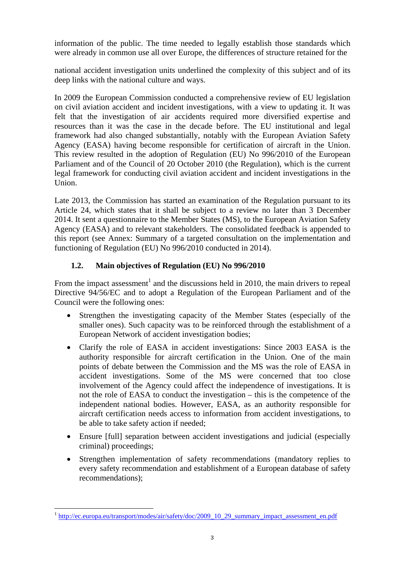information of the public. The time needed to legally establish those standards which were already in common use all over Europe, the differences of structure retained for the

national accident investigation units underlined the complexity of this subject and of its deep links with the national culture and ways.

In 2009 the European Commission conducted a comprehensive review of EU legislation on civil aviation accident and incident investigations, with a view to updating it. It was felt that the investigation of air accidents required more diversified expertise and resources than it was the case in the decade before. The EU institutional and legal framework had also changed substantially, notably with the European Aviation Safety Agency (EASA) having become responsible for certification of aircraft in the Union. This review resulted in the adoption of Regulation (EU) No 996/2010 of the European Parliament and of the Council of 20 October 2010 (the Regulation), which is the current legal framework for conducting civil aviation accident and incident investigations in the Union.

Late 2013, the Commission has started an examination of the Regulation pursuant to its Article 24, which states that it shall be subject to a review no later than 3 December 2014. It sent a questionnaire to the Member States (MS), to the European Aviation Safety Agency (EASA) and to relevant stakeholders. The consolidated feedback is appended to this report (see Annex: Summary of a targeted consultation on the implementation and functioning of Regulation (EU) No 996/2010 conducted in 2014).

### **1.2. Main objectives of Regulation (EU) No 996/2010**

From the impact assessment<sup>1</sup> and the discussions held in 2010, the main drivers to repeal Directive 94/56/EC and to adopt a Regulation of the European Parliament and of the Council were the following ones:

- Strengthen the investigating capacity of the Member States (especially of the smaller ones). Such capacity was to be reinforced through the establishment of a European Network of accident investigation bodies;
- Clarify the role of EASA in accident investigations: Since 2003 EASA is the authority responsible for aircraft certification in the Union. One of the main points of debate between the Commission and the MS was the role of EASA in accident investigations. Some of the MS were concerned that too close involvement of the Agency could affect the independence of investigations. It is not the role of EASA to conduct the investigation – this is the competence of the independent national bodies. However, EASA, as an authority responsible for aircraft certification needs access to information from accident investigations, to be able to take safety action if needed;
- Ensure [full] separation between accident investigations and judicial (especially criminal) proceedings;
- Strengthen implementation of safety recommendations (mandatory replies to every safety recommendation and establishment of a European database of safety recommendations);

 $\overline{a}$ <sup>1</sup> [http://ec.europa.eu/transport/mode](http://ec.europa.eu/transport/modes/air/safety/doc/2009_10_29_summary_impact_assessment_en.pdf)s/air/safety/doc/2009\_10\_29\_summary\_impact\_assessment\_en.pdf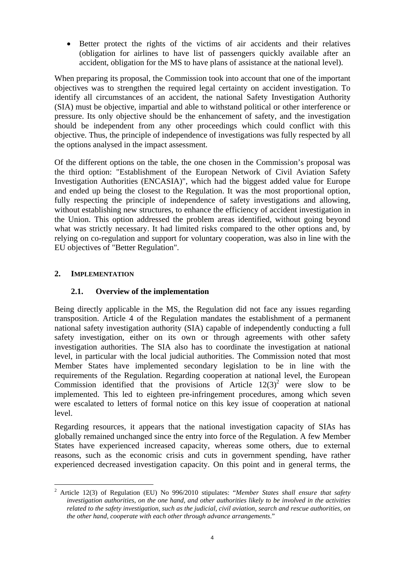• Better protect the rights of the victims of air accidents and their relatives (obligation for airlines to have list of passengers quickly available after an accident, obligation for the MS to have plans of assistance at the national level).

When preparing its proposal, the Commission took into account that one of the important objectives was to strengthen the required legal certainty on accident investigation. To identify all circumstances of an accident, the national Safety Investigation Authority (SIA) must be objective, impartial and able to withstand political or other interference or pressure. Its only objective should be the enhancement of safety, and the investigation should be independent from any other proceedings which could conflict with this objective. Thus, the principle of independence of investigations was fully respected by all the options analysed in the impact assessment.

Of the different options on the table, the one chosen in the Commission's proposal was the third option: "Establishment of the European Network of Civil Aviation Safety Investigation Authorities (ENCASIA)", which had the biggest added value for Europe and ended up being the closest to the Regulation. It was the most proportional option, fully respecting the principle of independence of safety investigations and allowing, without establishing new structures, to enhance the efficiency of accident investigation in the Union. This option addressed the problem areas identified, without going beyond what was strictly necessary. It had limited risks compared to the other options and, by relying on co-regulation and support for voluntary cooperation, was also in line with the EU objectives of "Better Regulation".

### **2. IMPLEMENTATION**

#### **2.1. Overview of the implementation**

Being directly applicable in the MS, the Regulation did not face any issues regarding transposition. Article 4 of the Regulation mandates the establishment of a permanent national safety investigation authority (SIA) capable of independently conducting a full safety investigation, either on its own or through agreements with other safety investigation authorities. The SIA also has to coordinate the investigation at national level, in particular with the local judicial authorities. The Commission noted that most Member States have implemented secondary legislation to be in line with the requirements of the Regulation. Regarding cooperation at national level, the European Commission identified that the provisions of Article  $12(3)^2$  were slow to be implemented. This led to eighteen pre-infringement procedures, among which seven were escalated to letters of formal notice on this key issue of cooperation at national level.

Regarding resources, it appears that the national investigation capacity of SIAs has globally remained unchanged since the entry into force of the Regulation. A few Member States have experienced increased capacity, whereas some others, due to external reasons, such as the economic crisis and cuts in government spending, have rather experienced decreased investigation capacity. On this point and in general terms, the

 $\overline{a}$ 2 Article 12(3) of Regulation (EU) No 996/2010 stipulates: "*Member States shall ensure that safety investigation authorities, on the one hand, and other authorities likely to be involved in the activities related to the safety investigation, such as the judicial, civil aviation, search and rescue authorities, on the other hand, cooperate with each other through advance arrangements*."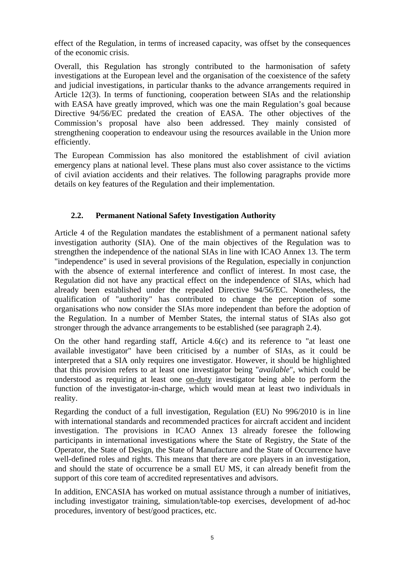effect of the Regulation, in terms of increased capacity, was offset by the consequences of the economic crisis.

Overall, this Regulation has strongly contributed to the harmonisation of safety investigations at the European level and the organisation of the coexistence of the safety and judicial investigations, in particular thanks to the advance arrangements required in Article 12(3). In terms of functioning, cooperation between SIAs and the relationship with EASA have greatly improved, which was one the main Regulation's goal because Directive 94/56/EC predated the creation of EASA. The other objectives of the Commission's proposal have also been addressed. They mainly consisted of strengthening cooperation to endeavour using the resources available in the Union more efficiently.

The European Commission has also monitored the establishment of civil aviation emergency plans at national level. These plans must also cover assistance to the victims of civil aviation accidents and their relatives. The following paragraphs provide more details on key features of the Regulation and their implementation.

### **2.2. Permanent National Safety Investigation Authority**

Article 4 of the Regulation mandates the establishment of a permanent national safety investigation authority (SIA). One of the main objectives of the Regulation was to strengthen the independence of the national SIAs in line with ICAO Annex 13. The term "independence" is used in several provisions of the Regulation, especially in conjunction with the absence of external interference and conflict of interest. In most case, the Regulation did not have any practical effect on the independence of SIAs, which had already been established under the repealed Directive 94/56/EC. Nonetheless, the qualification of "authority" has contributed to change the perception of some organisations who now consider the SIAs more independent than before the adoption of the Regulation. In a number of Member States, the internal status of SIAs also got stronger through the advance arrangements to be established (see paragraph 2.4).

On the other hand regarding staff, Article 4.6(c) and its reference to "at least one available investigator" have been criticised by a number of SIAs, as it could be interpreted that a SIA only requires one investigator. However, it should be highlighted that this provision refers to at least one investigator being "*available*", which could be understood as requiring at least one on-duty investigator being able to perform the function of the investigator-in-charge, which would mean at least two individuals in reality.

Regarding the conduct of a full investigation, Regulation (EU) No 996/2010 is in line with international standards and recommended practices for aircraft accident and incident investigation. The provisions in ICAO Annex 13 already foresee the following participants in international investigations where the State of Registry, the State of the Operator, the State of Design, the State of Manufacture and the State of Occurrence have well-defined roles and rights. This means that there are core players in an investigation, and should the state of occurrence be a small EU MS, it can already benefit from the support of this core team of accredited representatives and advisors.

In addition, ENCASIA has worked on mutual assistance through a number of initiatives, including investigator training, simulation/table-top exercises, development of ad-hoc procedures, inventory of best/good practices, etc.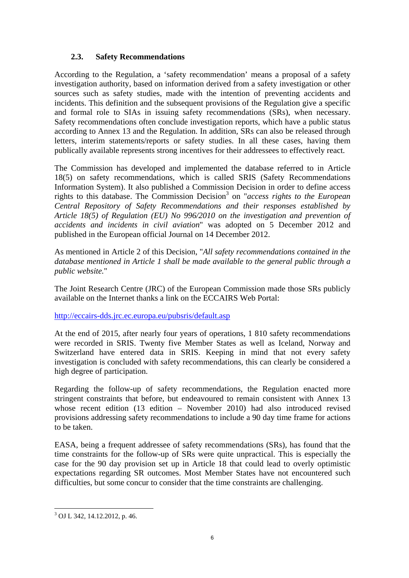### **2.3. Safety Recommendations**

According to the Regulation, a 'safety recommendation' means a proposal of a safety investigation authority, based on information derived from a safety investigation or other sources such as safety studies, made with the intention of preventing accidents and incidents. This definition and the subsequent provisions of the Regulation give a specific and formal role to SIAs in issuing safety recommendations (SRs), when necessary. Safety recommendations often conclude investigation reports, which have a public status according to Annex 13 and the Regulation. In addition, SRs can also be released through letters, interim statements/reports or safety studies. In all these cases, having them publically available represents strong incentives for their addressees to effectively react.

The Commission has developed and implemented the database referred to in Article 18(5) on safety recommendations, which is called SRIS (Safety Recommendations Information System). It also published a Commission Decision in order to define access rights to this database. The Commission Decision<sup>3</sup> on "*access rights to the European Central Repository of Safety Recommendations and their responses established by Article 18(5) of Regulation (EU) No 996/2010 on the investigation and prevention of accidents and incidents in civil aviation*" was adopted on 5 December 2012 and published in the European official Journal on 14 December 2012.

As mentioned in Article 2 of this Decision, "*All safety recommendations contained in the database mentioned in Article 1 shall be made available to the general public through a public website.*"

The Joint Research Centre (JRC) of the European Commission made those SRs publicly available on the Internet thanks a link on the ECCAIRS Web Portal:

<http://eccairs-dds.jrc.ec.europa.eu/pubsris/default.asp>

At the end of 2015, after nearly four years of operations, 1 810 safety recommendations were recorded in SRIS. Twenty five Member States as well as Iceland, Norway and Switzerland have entered data in SRIS. Keeping in mind that not every safety investigation is concluded with safety recommendations, this can clearly be considered a high degree of participation.

Regarding the follow-up of safety recommendations, the Regulation enacted more stringent constraints that before, but endeavoured to remain consistent with Annex 13 whose recent edition (13 edition – November 2010) had also introduced revised provisions addressing safety recommendations to include a 90 day time frame for actions to be taken.

EASA, being a frequent addressee of safety recommendations (SRs), has found that the time constraints for the follow-up of SRs were quite unpractical. This is especially the case for the 90 day provision set up in Article 18 that could lead to overly optimistic expectations regarding SR outcomes. Most Member States have not encountered such difficulties, but some concur to consider that the time constraints are challenging.

 3 OJ L 342, 14.12.2012, p. 46.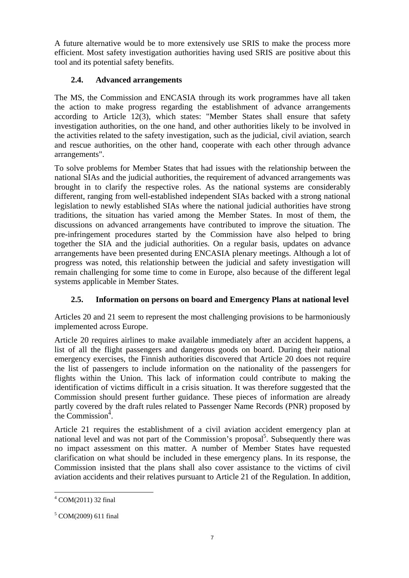A future alternative would be to more extensively use SRIS to make the process more efficient. Most safety investigation authorities having used SRIS are positive about this tool and its potential safety benefits.

# **2.4. Advanced arrangements**

The MS, the Commission and ENCASIA through its work programmes have all taken the action to make progress regarding the establishment of advance arrangements according to Article 12(3), which states: "Member States shall ensure that safety investigation authorities, on the one hand, and other authorities likely to be involved in the activities related to the safety investigation, such as the judicial, civil aviation, search and rescue authorities, on the other hand, cooperate with each other through advance arrangements".

To solve problems for Member States that had issues with the relationship between the national SIAs and the judicial authorities, the requirement of advanced arrangements was brought in to clarify the respective roles. As the national systems are considerably different, ranging from well-established independent SIAs backed with a strong national legislation to newly established SIAs where the national judicial authorities have strong traditions, the situation has varied among the Member States. In most of them, the discussions on advanced arrangements have contributed to improve the situation. The pre-infringement procedures started by the Commission have also helped to bring together the SIA and the judicial authorities. On a regular basis, updates on advance arrangements have been presented during ENCASIA plenary meetings. Although a lot of progress was noted, this relationship between the judicial and safety investigation will remain challenging for some time to come in Europe, also because of the different legal systems applicable in Member States.

# **2.5. Information on persons on board and Emergency Plans at national level**

Articles 20 and 21 seem to represent the most challenging provisions to be harmoniously implemented across Europe.

Article 20 requires airlines to make available immediately after an accident happens, a list of all the flight passengers and dangerous goods on board. During their national emergency exercises, the Finnish authorities discovered that Article 20 does not require the list of passengers to include information on the nationality of the passengers for flights within the Union. This lack of information could contribute to making the identification of victims difficult in a crisis situation. It was therefore suggested that the Commission should present further guidance. These pieces of information are already partly covered by the draft rules related to Passenger Name Records (PNR) proposed by the Commission $4$ .

Article 21 requires the establishment of a civil aviation accident emergency plan at national level and was not part of the Commission's proposal<sup>5</sup>. Subsequently there was no impact assessment on this matter. A number of Member States have requested clarification on what should be included in these emergency plans. In its response, the Commission insisted that the plans shall also cover assistance to the victims of civil aviation accidents and their relatives pursuant to Article 21 of the Regulation. In addition,

 $\overline{a}$ 4 COM(2011) 32 final

<sup>5</sup> COM(2009) 611 final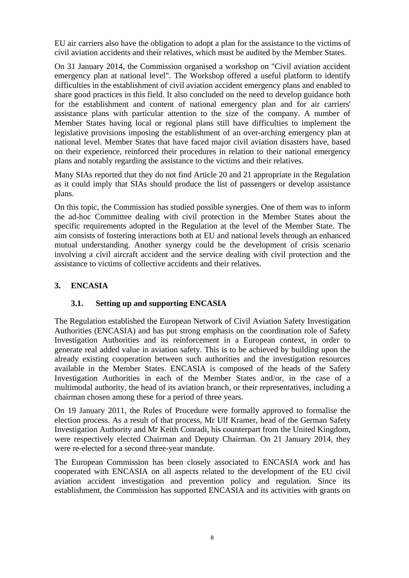EU air carriers also have the obligation to adopt a plan for the assistance to the victims of civil aviation accidents and their relatives, which must be audited by the Member States.

On 31 January 2014, the Commission organised a workshop on "Civil aviation accident emergency plan at national level". The Workshop offered a useful platform to identify difficulties in the establishment of civil aviation accident emergency plans and enabled to share good practices in this field. It also concluded on the need to develop guidance both for the establishment and content of national emergency plan and for air carriers' assistance plans with particular attention to the size of the company. A number of Member States having local or regional plans still have difficulties to implement the legislative provisions imposing the establishment of an over-arching emergency plan at national level. Member States that have faced major civil aviation disasters have, based on their experience, reinforced their procedures in relation to their national emergency plans and notably regarding the assistance to the victims and their relatives.

Many SIAs reported that they do not find Article 20 and 21 appropriate in the Regulation as it could imply that SIAs should produce the list of passengers or develop assistance plans.

On this topic, the Commission has studied possible synergies. One of them was to inform the ad-hoc Committee dealing with civil protection in the Member States about the specific requirements adopted in the Regulation at the level of the Member State. The aim consists of fostering interactions both at EU and national levels through an enhanced mutual understanding. Another synergy could be the development of crisis scenario involving a civil aircraft accident and the service dealing with civil protection and the assistance to victims of collective accidents and their relatives.

# **3. ENCASIA**

# **3.1. Setting up and supporting ENCASIA**

The Regulation established the European Network of Civil Aviation Safety Investigation Authorities (ENCASIA) and has put strong emphasis on the coordination role of Safety Investigation Authorities and its reinforcement in a European context, in order to generate real added value in aviation safety. This is to be achieved by building upon the already existing cooperation between such authorities and the investigation resources available in the Member States. ENCASIA is composed of the heads of the Safety Investigation Authorities in each of the Member States and/or, in the case of a multimodal authority, the head of its aviation branch, or their representatives, including a chairman chosen among these for a period of three years.

On 19 January 2011, the Rules of Procedure were formally approved to formalise the election process. As a result of that process, Mr Ulf Kramer, head of the German Safety Investigation Authority and Mr Keith Conradi, his counterpart from the United Kingdom, were respectively elected Chairman and Deputy Chairman. On 21 January 2014, they were re-elected for a second three-year mandate.

The European Commission has been closely associated to ENCASIA work and has cooperated with ENCASIA on all aspects related to the development of the EU civil aviation accident investigation and prevention policy and regulation. Since its establishment, the Commission has supported ENCASIA and its activities with grants on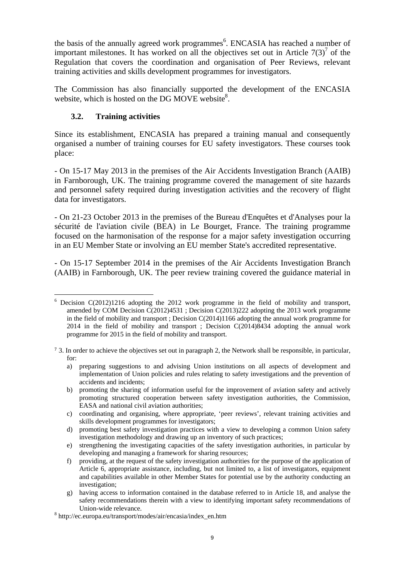the basis of the annually agreed work programmes<sup>6</sup>. ENCASIA has reached a number of important milestones. It has worked on all the objectives set out in Article  $7(3)^7$  of the Regulation that covers the coordination and organisation of Peer Reviews, relevant training activities and skills development programmes for investigators.

The Commission has also financially supported the development of the ENCASIA website, which is hosted on the DG MOVE website $8$ .

### **3.2. Training activities**

Since its establishment, ENCASIA has prepared a training manual and consequently organised a number of training courses for EU safety investigators. These courses took place:

- On 15-17 May 2013 in the premises of the Air Accidents Investigation Branch (AAIB) in Farnborough, UK. The training programme covered the management of site hazards and personnel safety required during investigation activities and the recovery of flight data for investigators.

- On 21-23 October 2013 in the premises of the Bureau d'Enquêtes et d'Analyses pour la sécurité de l'aviation civile (BEA) in Le Bourget, France. The training programme focused on the harmonisation of the response for a major safety investigation occurring in an EU Member State or involving an EU member State's accredited representative.

- On 15-17 September 2014 in the premises of the Air Accidents Investigation Branch (AAIB) in Farnborough, UK. The peer review training covered the guidance material in

 $\overline{a}$  $6$  Decision C(2012)1216 adopting the 2012 work programme in the field of mobility and transport, amended by COM Decision C(2012)4531 ; Decision C(2013)222 adopting the 2013 work programme in the field of mobility and transport ; Decision C(2014)1166 adopting the annual work programme for 2014 in the field of mobility and transport ; Decision C(2014)8434 adopting the annual work programme for 2015 in the field of mobility and transport.

<sup>7</sup> 3. In order to achieve the objectives set out in paragraph 2, the Network shall be responsible, in particular, for:

a) preparing suggestions to and advising Union institutions on all aspects of development and implementation of Union policies and rules relating to safety investigations and the prevention of accidents and incidents;

b) promoting the sharing of information useful for the improvement of aviation safety and actively promoting structured cooperation between safety investigation authorities, the Commission, EASA and national civil aviation authorities;

c) coordinating and organising, where appropriate, 'peer reviews', relevant training activities and skills development programmes for investigators;

d) promoting best safety investigation practices with a view to developing a common Union safety investigation methodology and drawing up an inventory of such practices;

e) strengthening the investigating capacities of the safety investigation authorities, in particular by developing and managing a framework for sharing resources;

f) providing, at the request of the safety investigation authorities for the purpose of the application of Article 6, appropriate assistance, including, but not limited to, a list of investigators, equipment and capabilities available in other Member States for potential use by the authority conducting an investigation;

g) having access to information contained in the database referred to in Article 18, and analyse the safety recommendations therein with a view to identifying important safety recommendations of

Union-wide relevance. 8 http://ec.europa.eu/transport/modes/air/encasia/index\_en.htm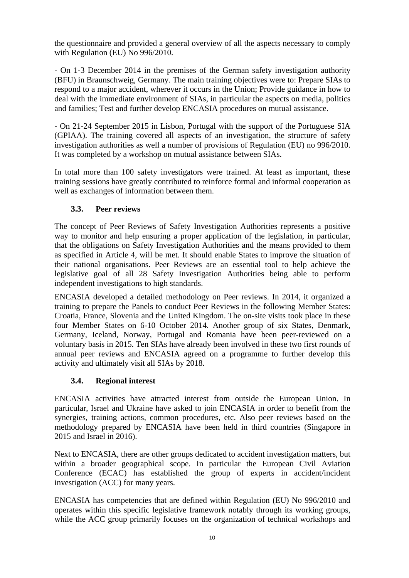the questionnaire and provided a general overview of all the aspects necessary to comply with Regulation (EU) No 996/2010.

- On 1-3 December 2014 in the premises of the German safety investigation authority (BFU) in Braunschweig, Germany. The main training objectives were to: Prepare SIAs to respond to a major accident, wherever it occurs in the Union; Provide guidance in how to deal with the immediate environment of SIAs, in particular the aspects on media, politics and families; Test and further develop ENCASIA procedures on mutual assistance.

- On 21-24 September 2015 in Lisbon, Portugal with the support of the Portuguese SIA (GPIAA). The training covered all aspects of an investigation, the structure of safety investigation authorities as well a number of provisions of Regulation (EU) no 996/2010. It was completed by a workshop on mutual assistance between SIAs.

In total more than 100 safety investigators were trained. At least as important, these training sessions have greatly contributed to reinforce formal and informal cooperation as well as exchanges of information between them.

# **3.3. Peer reviews**

The concept of Peer Reviews of Safety Investigation Authorities represents a positive way to monitor and help ensuring a proper application of the legislation, in particular, that the obligations on Safety Investigation Authorities and the means provided to them as specified in Article 4, will be met. It should enable States to improve the situation of their national organisations. Peer Reviews are an essential tool to help achieve the legislative goal of all 28 Safety Investigation Authorities being able to perform independent investigations to high standards.

ENCASIA developed a detailed methodology on Peer reviews. In 2014, it organized a training to prepare the Panels to conduct Peer Reviews in the following Member States: Croatia, France, Slovenia and the United Kingdom. The on-site visits took place in these four Member States on 6-10 October 2014. Another group of six States, Denmark, Germany, Iceland, Norway, Portugal and Romania have been peer-reviewed on a voluntary basis in 2015. Ten SIAs have already been involved in these two first rounds of annual peer reviews and ENCASIA agreed on a programme to further develop this activity and ultimately visit all SIAs by 2018.

### **3.4. Regional interest**

ENCASIA activities have attracted interest from outside the European Union. In particular, Israel and Ukraine have asked to join ENCASIA in order to benefit from the synergies, training actions, common procedures, etc. Also peer reviews based on the methodology prepared by ENCASIA have been held in third countries (Singapore in 2015 and Israel in 2016).

Next to ENCASIA, there are other groups dedicated to accident investigation matters, but within a broader geographical scope. In particular the European Civil Aviation Conference (ECAC) has established the group of experts in accident/incident investigation (ACC) for many years.

ENCASIA has competencies that are defined within Regulation (EU) No 996/2010 and operates within this specific legislative framework notably through its working groups, while the ACC group primarily focuses on the organization of technical workshops and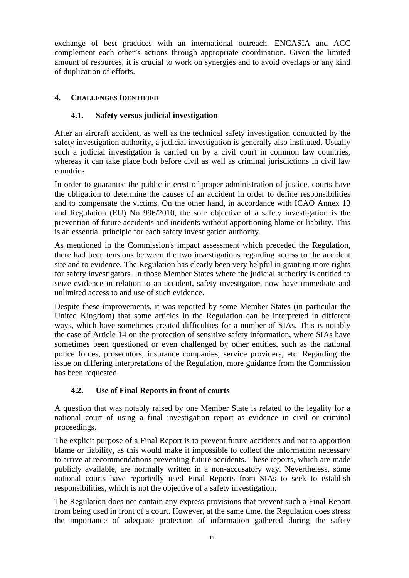exchange of best practices with an international outreach. ENCASIA and ACC complement each other's actions through appropriate coordination. Given the limited amount of resources, it is crucial to work on synergies and to avoid overlaps or any kind of duplication of efforts.

### **4. CHALLENGES IDENTIFIED**

# **4.1. Safety versus judicial investigation**

After an aircraft accident, as well as the technical safety investigation conducted by the safety investigation authority, a judicial investigation is generally also instituted. Usually such a judicial investigation is carried on by a civil court in common law countries, whereas it can take place both before civil as well as criminal jurisdictions in civil law countries.

In order to guarantee the public interest of proper administration of justice, courts have the obligation to determine the causes of an accident in order to define responsibilities and to compensate the victims. On the other hand, in accordance with ICAO Annex 13 and Regulation (EU) No 996/2010, the sole objective of a safety investigation is the prevention of future accidents and incidents without apportioning blame or liability. This is an essential principle for each safety investigation authority.

As mentioned in the Commission's impact assessment which preceded the Regulation, there had been tensions between the two investigations regarding access to the accident site and to evidence. The Regulation has clearly been very helpful in granting more rights for safety investigators. In those Member States where the judicial authority is entitled to seize evidence in relation to an accident, safety investigators now have immediate and unlimited access to and use of such evidence.

Despite these improvements, it was reported by some Member States (in particular the United Kingdom) that some articles in the Regulation can be interpreted in different ways, which have sometimes created difficulties for a number of SIAs. This is notably the case of Article 14 on the protection of sensitive safety information, where SIAs have sometimes been questioned or even challenged by other entities, such as the national police forces, prosecutors, insurance companies, service providers, etc. Regarding the issue on differing interpretations of the Regulation, more guidance from the Commission has been requested.

# **4.2. Use of Final Reports in front of courts**

A question that was notably raised by one Member State is related to the legality for a national court of using a final investigation report as evidence in civil or criminal proceedings.

The explicit purpose of a Final Report is to prevent future accidents and not to apportion blame or liability, as this would make it impossible to collect the information necessary to arrive at recommendations preventing future accidents. These reports, which are made publicly available, are normally written in a non-accusatory way. Nevertheless, some national courts have reportedly used Final Reports from SIAs to seek to establish responsibilities, which is not the objective of a safety investigation.

The Regulation does not contain any express provisions that prevent such a Final Report from being used in front of a court. However, at the same time, the Regulation does stress the importance of adequate protection of information gathered during the safety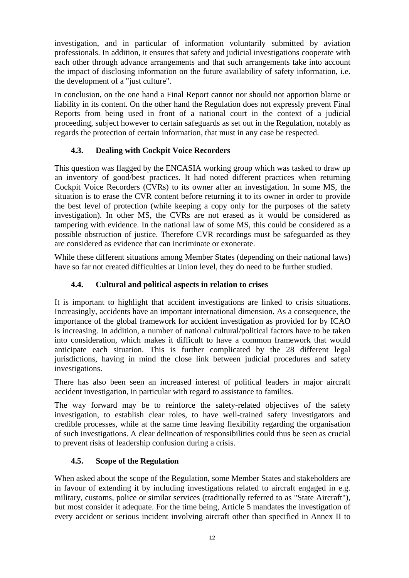investigation, and in particular of information voluntarily submitted by aviation professionals. In addition, it ensures that safety and judicial investigations cooperate with each other through advance arrangements and that such arrangements take into account the impact of disclosing information on the future availability of safety information, i.e. the development of a "just culture".

In conclusion, on the one hand a Final Report cannot nor should not apportion blame or liability in its content. On the other hand the Regulation does not expressly prevent Final Reports from being used in front of a national court in the context of a judicial proceeding, subject however to certain safeguards as set out in the Regulation, notably as regards the protection of certain information, that must in any case be respected.

### **4.3. Dealing with Cockpit Voice Recorders**

This question was flagged by the ENCASIA working group which was tasked to draw up an inventory of good/best practices. It had noted different practices when returning Cockpit Voice Recorders (CVRs) to its owner after an investigation. In some MS, the situation is to erase the CVR content before returning it to its owner in order to provide the best level of protection (while keeping a copy only for the purposes of the safety investigation). In other MS, the CVRs are not erased as it would be considered as tampering with evidence. In the national law of some MS, this could be considered as a possible obstruction of justice. Therefore CVR recordings must be safeguarded as they are considered as evidence that can incriminate or exonerate.

While these different situations among Member States (depending on their national laws) have so far not created difficulties at Union level, they do need to be further studied.

### **4.4. Cultural and political aspects in relation to crises**

It is important to highlight that accident investigations are linked to crisis situations. Increasingly, accidents have an important international dimension. As a consequence, the importance of the global framework for accident investigation as provided for by ICAO is increasing. In addition, a number of national cultural/political factors have to be taken into consideration, which makes it difficult to have a common framework that would anticipate each situation. This is further complicated by the 28 different legal jurisdictions, having in mind the close link between judicial procedures and safety investigations.

There has also been seen an increased interest of political leaders in major aircraft accident investigation, in particular with regard to assistance to families.

The way forward may be to reinforce the safety-related objectives of the safety investigation, to establish clear roles, to have well-trained safety investigators and credible processes, while at the same time leaving flexibility regarding the organisation of such investigations. A clear delineation of responsibilities could thus be seen as crucial to prevent risks of leadership confusion during a crisis.

### **4.5. Scope of the Regulation**

When asked about the scope of the Regulation, some Member States and stakeholders are in favour of extending it by including investigations related to aircraft engaged in e.g. military, customs, police or similar services (traditionally referred to as "State Aircraft"), but most consider it adequate. For the time being, Article 5 mandates the investigation of every accident or serious incident involving aircraft other than specified in Annex II to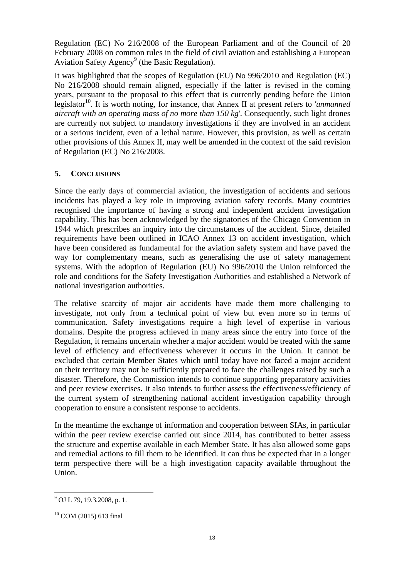Regulation (EC) No 216/2008 of the European Parliament and of the Council of 20 February 2008 on common rules in the field of civil aviation and establishing a European Aviation Safety Agency<sup>9</sup> (the Basic Regulation).

It was highlighted that the scopes of Regulation (EU) No 996/2010 and Regulation (EC) No 216/2008 should remain aligned, especially if the latter is revised in the coming years, pursuant to the proposal to this effect that is currently pending before the Union legislator<sup>10</sup>. It is worth noting, for instance, that Annex II at present refers to *'unmanned aircraft with an operating mass of no more than 150 kg*'. Consequently, such light drones are currently not subject to mandatory investigations if they are involved in an accident or a serious incident, even of a lethal nature. However, this provision, as well as certain other provisions of this Annex II, may well be amended in the context of the said revision of Regulation (EC) No 216/2008.

### **5. CONCLUSIONS**

Since the early days of commercial aviation, the investigation of accidents and serious incidents has played a key role in improving aviation safety records. Many countries recognised the importance of having a strong and independent accident investigation capability. This has been acknowledged by the signatories of the Chicago Convention in 1944 which prescribes an inquiry into the circumstances of the accident. Since, detailed requirements have been outlined in ICAO Annex 13 on accident investigation, which have been considered as fundamental for the aviation safety system and have paved the way for complementary means, such as generalising the use of safety management systems. With the adoption of Regulation (EU) No 996/2010 the Union reinforced the role and conditions for the Safety Investigation Authorities and established a Network of national investigation authorities.

The relative scarcity of major air accidents have made them more challenging to investigate, not only from a technical point of view but even more so in terms of communication. Safety investigations require a high level of expertise in various domains. Despite the progress achieved in many areas since the entry into force of the Regulation, it remains uncertain whether a major accident would be treated with the same level of efficiency and effectiveness wherever it occurs in the Union. It cannot be excluded that certain Member States which until today have not faced a major accident on their territory may not be sufficiently prepared to face the challenges raised by such a disaster. Therefore, the Commission intends to continue supporting preparatory activities and peer review exercises. It also intends to further assess the effectiveness/efficiency of the current system of strengthening national accident investigation capability through cooperation to ensure a consistent response to accidents.

In the meantime the exchange of information and cooperation between SIAs, in particular within the peer review exercise carried out since 2014, has contributed to better assess the structure and expertise available in each Member State. It has also allowed some gaps and remedial actions to fill them to be identified. It can thus be expected that in a longer term perspective there will be a high investigation capacity available throughout the Union.

 $\overline{a}$ 

 $^{9}$  OJ L 79, 19.3.2008, p. 1.

 $10$  COM (2015) 613 final